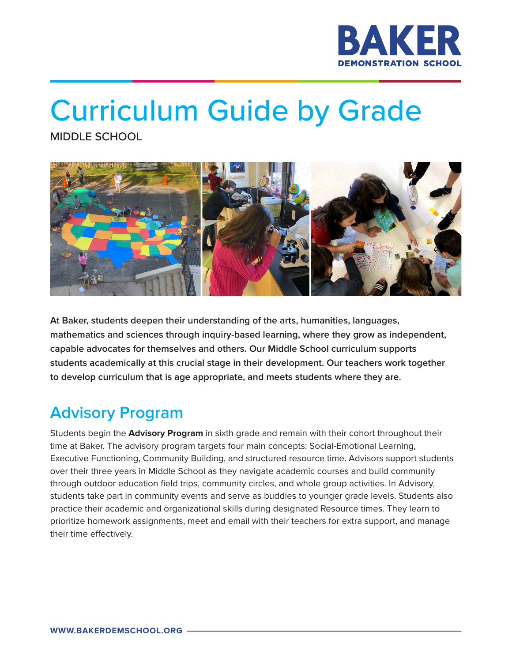

# Curriculum Guide by Grade

MIDDLE SCHOOL



**At Baker, students deepen their understanding of the arts, humanities, languages, mathematics and sciences through inquiry-based learning, where they grow as independent, capable advocates for themselves and others. Our Middle School curriculum supports students academically at this crucial stage in their development. Our teachers work together to develop curriculum that is age appropriate, and meets students where they are.**

## **Advisory Program**

Students begin the **Advisory Program** in sixth grade and remain with their cohort throughout their time at Baker. The advisory program targets four main concepts: Social-Emotional Learning, Executive Functioning, Community Building, and structured resource time. Advisors support students over their three years in Middle School as they navigate academic courses and build community through outdoor education field trips, community circles, and whole group activities. In Advisory, students take part in community events and serve as buddies to younger grade levels. Students also practice their academic and organizational skills during designated Resource times. They learn to prioritize homework assignments, meet and email with their teachers for extra support, and manage their time effectively.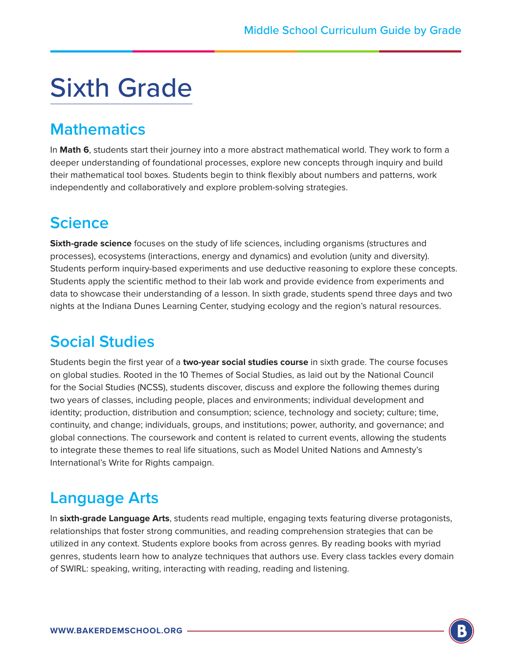## Sixth Grade

#### **Mathematics**

In **Math 6**, students start their journey into a more abstract mathematical world. They work to form a deeper understanding of foundational processes, explore new concepts through inquiry and build their mathematical tool boxes. Students begin to think flexibly about numbers and patterns, work independently and collaboratively and explore problem-solving strategies.

## **Science**

**Sixth-grade science** focuses on the study of life sciences, including organisms (structures and processes), ecosystems (interactions, energy and dynamics) and evolution (unity and diversity). Students perform inquiry-based experiments and use deductive reasoning to explore these concepts. Students apply the scientific method to their lab work and provide evidence from experiments and data to showcase their understanding of a lesson. In sixth grade, students spend three days and two nights at the Indiana Dunes Learning Center, studying ecology and the region's natural resources.

#### **Social Studies**

Students begin the first year of a **two-year social studies course** in sixth grade. The course focuses on global studies. Rooted in the 10 Themes of Social Studies, as laid out by the National Council for the Social Studies (NCSS), students discover, discuss and explore the following themes during two years of classes, including people, places and environments; individual development and identity; production, distribution and consumption; science, technology and society; culture; time, continuity, and change; individuals, groups, and institutions; power, authority, and governance; and global connections. The coursework and content is related to current events, allowing the students to integrate these themes to real life situations, such as Model United Nations and Amnesty's International's Write for Rights campaign.

#### **Language Arts**

In **sixth-grade Language Arts**, students read multiple, engaging texts featuring diverse protagonists, relationships that foster strong communities, and reading comprehension strategies that can be utilized in any context. Students explore books from across genres. By reading books with myriad genres, students learn how to analyze techniques that authors use. Every class tackles every domain of SWIRL: speaking, writing, interacting with reading, reading and listening.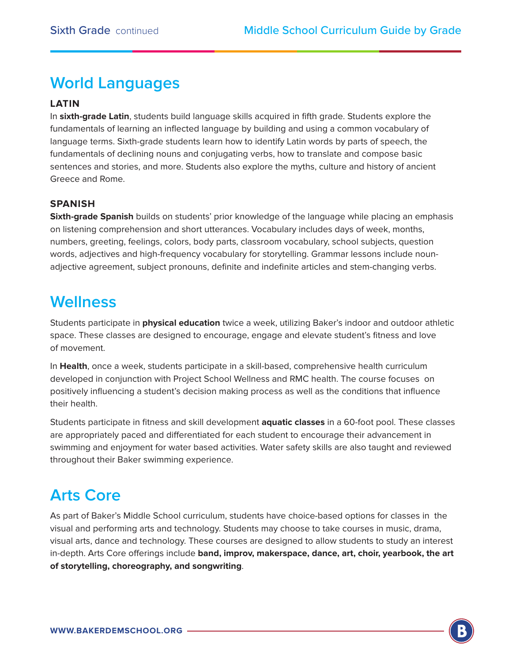### **World Languages**

#### **LATIN**

In **sixth-grade Latin**, students build language skills acquired in fifth grade. Students explore the fundamentals of learning an inflected language by building and using a common vocabulary of language terms. Sixth-grade students learn how to identify Latin words by parts of speech, the fundamentals of declining nouns and conjugating verbs, how to translate and compose basic sentences and stories, and more. Students also explore the myths, culture and history of ancient Greece and Rome.

#### **SPANISH**

**Sixth-grade Spanish** builds on students' prior knowledge of the language while placing an emphasis on listening comprehension and short utterances. Vocabulary includes days of week, months, numbers, greeting, feelings, colors, body parts, classroom vocabulary, school subjects, question words, adjectives and high-frequency vocabulary for storytelling. Grammar lessons include nounadjective agreement, subject pronouns, definite and indefinite articles and stem-changing verbs.

#### **Wellness**

Students participate in **physical education** twice a week, utilizing Baker's indoor and outdoor athletic space. These classes are designed to encourage, engage and elevate student's fitness and love of movement.

In **Health**, once a week, students participate in a skill-based, comprehensive health curriculum developed in conjunction with Project School Wellness and RMC health. The course focuses on positively influencing a student's decision making process as well as the conditions that influence their health.

Students participate in fitness and skill development **aquatic classes** in a 60-foot pool. These classes are appropriately paced and differentiated for each student to encourage their advancement in swimming and enjoyment for water based activities. Water safety skills are also taught and reviewed throughout their Baker swimming experience.

## **Arts Core**

As part of Baker's Middle School curriculum, students have choice-based options for classes in the visual and performing arts and technology. Students may choose to take courses in music, drama, visual arts, dance and technology. These courses are designed to allow students to study an interest in-depth. Arts Core offerings include **band, improv, makerspace, dance, art, choir, yearbook, the art of storytelling, choreography, and songwriting**.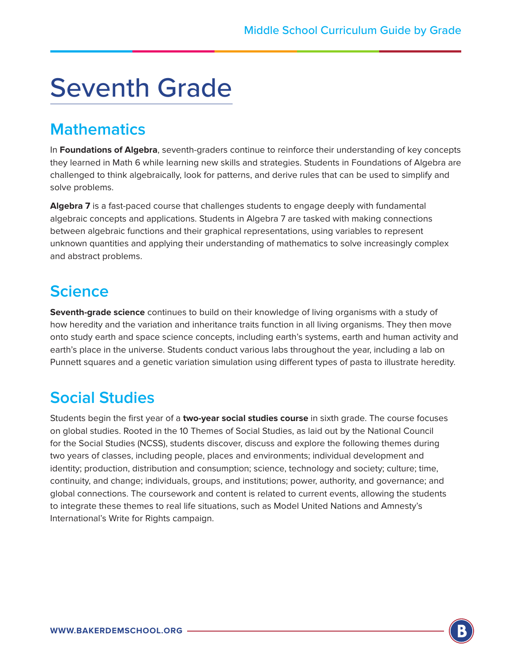## Seventh Grade

#### **Mathematics**

In **Foundations of Algebra**, seventh-graders continue to reinforce their understanding of key concepts they learned in Math 6 while learning new skills and strategies. Students in Foundations of Algebra are challenged to think algebraically, look for patterns, and derive rules that can be used to simplify and solve problems.

**Algebra 7** is a fast-paced course that challenges students to engage deeply with fundamental algebraic concepts and applications. Students in Algebra 7 are tasked with making connections between algebraic functions and their graphical representations, using variables to represent unknown quantities and applying their understanding of mathematics to solve increasingly complex and abstract problems.

#### **Science**

**Seventh-grade science** continues to build on their knowledge of living organisms with a study of how heredity and the variation and inheritance traits function in all living organisms. They then move onto study earth and space science concepts, including earth's systems, earth and human activity and earth's place in the universe. Students conduct various labs throughout the year, including a lab on Punnett squares and a genetic variation simulation using different types of pasta to illustrate heredity.

#### **Social Studies**

Students begin the first year of a **two-year social studies course** in sixth grade. The course focuses on global studies. Rooted in the 10 Themes of Social Studies, as laid out by the National Council for the Social Studies (NCSS), students discover, discuss and explore the following themes during two years of classes, including people, places and environments; individual development and identity; production, distribution and consumption; science, technology and society; culture; time, continuity, and change; individuals, groups, and institutions; power, authority, and governance; and global connections. The coursework and content is related to current events, allowing the students to integrate these themes to real life situations, such as Model United Nations and Amnesty's International's Write for Rights campaign.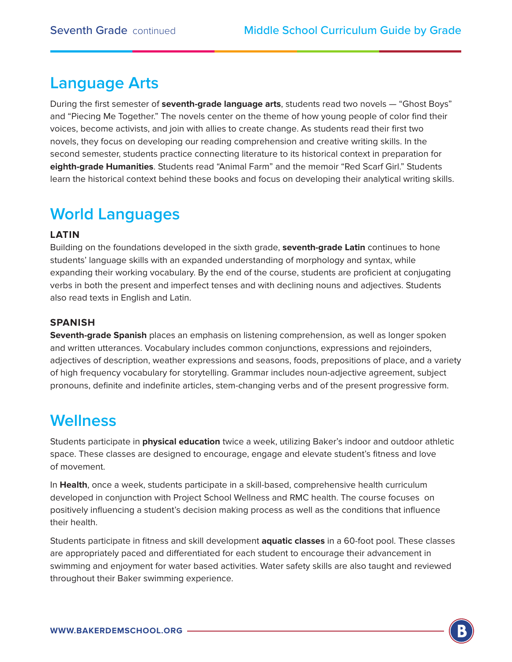#### **Language Arts**

During the first semester of **seventh-grade language arts**, students read two novels — "Ghost Boys" and "Piecing Me Together." The novels center on the theme of how young people of color find their voices, become activists, and join with allies to create change. As students read their first two novels, they focus on developing our reading comprehension and creative writing skills. In the second semester, students practice connecting literature to its historical context in preparation for **eighth-grade Humanities**. Students read "Animal Farm" and the memoir "Red Scarf Girl." Students learn the historical context behind these books and focus on developing their analytical writing skills.

#### **World Languages**

#### **LATIN**

Building on the foundations developed in the sixth grade, **seventh-grade Latin** continues to hone students' language skills with an expanded understanding of morphology and syntax, while expanding their working vocabulary. By the end of the course, students are proficient at conjugating verbs in both the present and imperfect tenses and with declining nouns and adjectives. Students also read texts in English and Latin.

#### **SPANISH**

**Seventh-grade Spanish** places an emphasis on listening comprehension, as well as longer spoken and written utterances. Vocabulary includes common conjunctions, expressions and rejoinders, adjectives of description, weather expressions and seasons, foods, prepositions of place, and a variety of high frequency vocabulary for storytelling. Grammar includes noun-adjective agreement, subject pronouns, definite and indefinite articles, stem-changing verbs and of the present progressive form.

#### **Wellness**

Students participate in **physical education** twice a week, utilizing Baker's indoor and outdoor athletic space. These classes are designed to encourage, engage and elevate student's fitness and love of movement.

In **Health**, once a week, students participate in a skill-based, comprehensive health curriculum developed in conjunction with Project School Wellness and RMC health. The course focuses on positively influencing a student's decision making process as well as the conditions that influence their health.

Students participate in fitness and skill development **aquatic classes** in a 60-foot pool. These classes are appropriately paced and differentiated for each student to encourage their advancement in swimming and enjoyment for water based activities. Water safety skills are also taught and reviewed throughout their Baker swimming experience.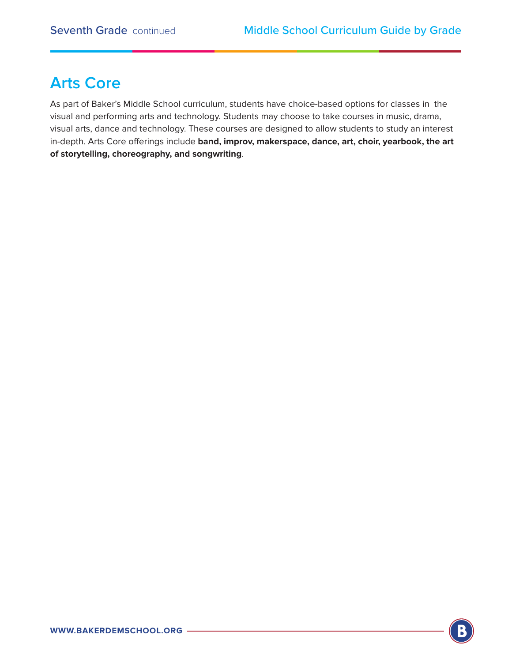#### **Arts Core**

As part of Baker's Middle School curriculum, students have choice-based options for classes in the visual and performing arts and technology. Students may choose to take courses in music, drama, visual arts, dance and technology. These courses are designed to allow students to study an interest in-depth. Arts Core offerings include **band, improv, makerspace, dance, art, choir, yearbook, the art of storytelling, choreography, and songwriting**.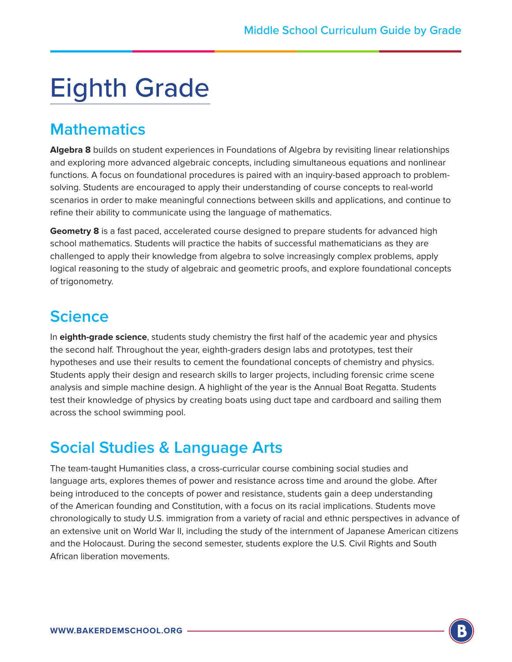## Eighth Grade

#### **Mathematics**

**Algebra 8** builds on student experiences in Foundations of Algebra by revisiting linear relationships and exploring more advanced algebraic concepts, including simultaneous equations and nonlinear functions. A focus on foundational procedures is paired with an inquiry-based approach to problemsolving. Students are encouraged to apply their understanding of course concepts to real-world scenarios in order to make meaningful connections between skills and applications, and continue to refine their ability to communicate using the language of mathematics.

**Geometry 8** is a fast paced, accelerated course designed to prepare students for advanced high school mathematics. Students will practice the habits of successful mathematicians as they are challenged to apply their knowledge from algebra to solve increasingly complex problems, apply logical reasoning to the study of algebraic and geometric proofs, and explore foundational concepts of trigonometry.

### **Science**

In **eighth-grade science**, students study chemistry the first half of the academic year and physics the second half. Throughout the year, eighth-graders design labs and prototypes, test their hypotheses and use their results to cement the foundational concepts of chemistry and physics. Students apply their design and research skills to larger projects, including forensic crime scene analysis and simple machine design. A highlight of the year is the Annual Boat Regatta. Students test their knowledge of physics by creating boats using duct tape and cardboard and sailing them across the school swimming pool.

## **Social Studies & Language Arts**

The team-taught Humanities class, a cross-curricular course combining social studies and language arts, explores themes of power and resistance across time and around the globe. After being introduced to the concepts of power and resistance, students gain a deep understanding of the American founding and Constitution, with a focus on its racial implications. Students move chronologically to study U.S. immigration from a variety of racial and ethnic perspectives in advance of an extensive unit on World War II, including the study of the internment of Japanese American citizens and the Holocaust. During the second semester, students explore the U.S. Civil Rights and South African liberation movements.